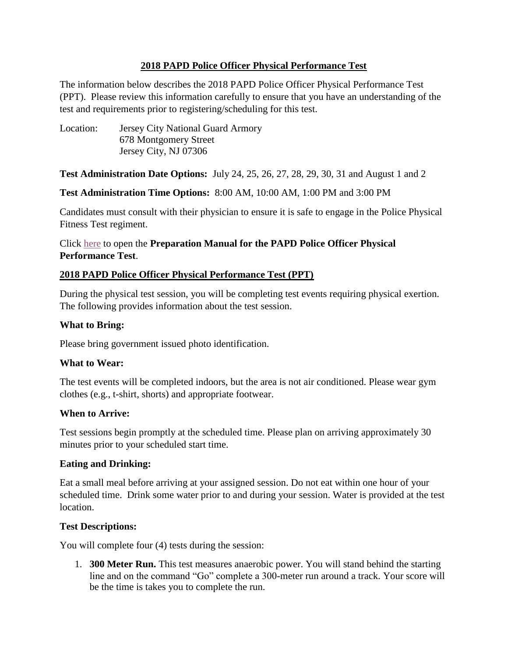#### **2018 PAPD Police Officer Physical Performance Test**

The information below describes the 2018 PAPD Police Officer Physical Performance Test (PPT). Please review this information carefully to ensure that you have an understanding of the test and requirements prior to registering/scheduling for this test.

Location: Jersey City National Guard Armory 678 Montgomery Street Jersey City, NJ 07306

#### **Test Administration Date Options:** July 24, 25, 26, 27, 28, 29, 30, 31 and August 1 and 2

#### **Test Administration Time Options:** 8:00 AM, 10:00 AM, 1:00 PM and 3:00 PM

Candidates must consult with their physician to ensure it is safe to engage in the Police Physical Fitness Test regiment.

### Click [here](http://www.papdrecruit.com/system/production/assets/114769/original/PAPD_Physical_Performance_Test_Preparation_Manual.pdf) to open the **Preparation Manual for the PAPD Police Officer Physical Performance Test**.

### **2018 PAPD Police Officer Physical Performance Test (PPT)**

During the physical test session, you will be completing test events requiring physical exertion. The following provides information about the test session.

#### **What to Bring:**

Please bring government issued photo identification.

#### **What to Wear:**

The test events will be completed indoors, but the area is not air conditioned. Please wear gym clothes (e.g., t-shirt, shorts) and appropriate footwear.

#### **When to Arrive:**

Test sessions begin promptly at the scheduled time. Please plan on arriving approximately 30 minutes prior to your scheduled start time.

## **Eating and Drinking:**

Eat a small meal before arriving at your assigned session. Do not eat within one hour of your scheduled time. Drink some water prior to and during your session. Water is provided at the test location.

## **Test Descriptions:**

You will complete four (4) tests during the session:

1. **300 Meter Run.** This test measures anaerobic power. You will stand behind the starting line and on the command "Go" complete a 300-meter run around a track. Your score will be the time is takes you to complete the run.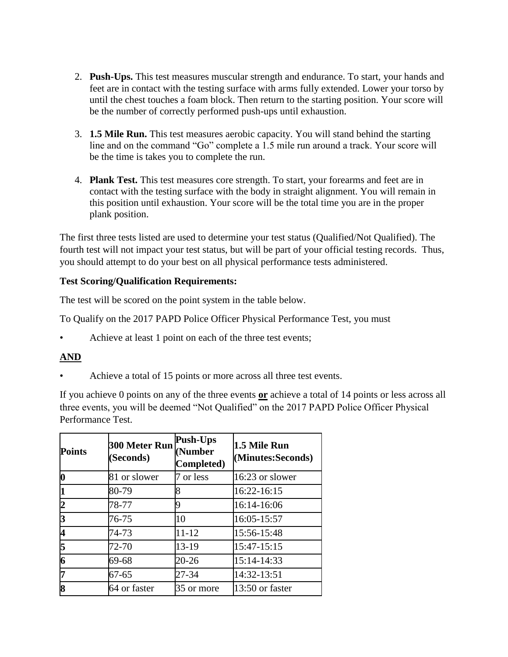- 2. **Push-Ups.** This test measures muscular strength and endurance. To start, your hands and feet are in contact with the testing surface with arms fully extended. Lower your torso by until the chest touches a foam block. Then return to the starting position. Your score will be the number of correctly performed push-ups until exhaustion.
- 3. **1.5 Mile Run.** This test measures aerobic capacity. You will stand behind the starting line and on the command "Go" complete a 1.5 mile run around a track. Your score will be the time is takes you to complete the run.
- 4. **Plank Test.** This test measures core strength. To start, your forearms and feet are in contact with the testing surface with the body in straight alignment. You will remain in this position until exhaustion. Your score will be the total time you are in the proper plank position.

The first three tests listed are used to determine your test status (Qualified/Not Qualified). The fourth test will not impact your test status, but will be part of your official testing records. Thus, you should attempt to do your best on all physical performance tests administered.

#### **Test Scoring/Qualification Requirements:**

The test will be scored on the point system in the table below.

To Qualify on the 2017 PAPD Police Officer Physical Performance Test, you must

Achieve at least 1 point on each of the three test events;

## **AND**

Achieve a total of 15 points or more across all three test events.

If you achieve 0 points on any of the three events **or** achieve a total of 14 points or less across all three events, you will be deemed "Not Qualified" on the 2017 PAPD Police Officer Physical Performance Test.

| <b>Points</b>            | 300 Meter Run<br>(Seconds) | Push-Ups<br>(Number<br>Completed) | 1.5 Mile Run<br>(Minutes:Seconds) |
|--------------------------|----------------------------|-----------------------------------|-----------------------------------|
| $\bf{0}$                 | 81 or slower               | 7 or less                         | 16:23 or slower                   |
|                          | 80-79                      | R                                 | 16:22-16:15                       |
| 2                        | 78-77                      | Q                                 | 16:14-16:06                       |
| 3                        | 76-75                      | 10                                | 16:05-15:57                       |
| $\overline{\mathcal{A}}$ | 74-73                      | $11 - 12$                         | 15:56-15:48                       |
| 5                        | 72-70                      | 13-19                             | 15:47-15:15                       |
| 6                        | 69-68                      | 20-26                             | 15:14-14:33                       |
| 7                        | $67 - 65$                  | 27-34                             | 14:32-13:51                       |
| 8                        | 64 or faster               | 35 or more                        | 13:50 or faster                   |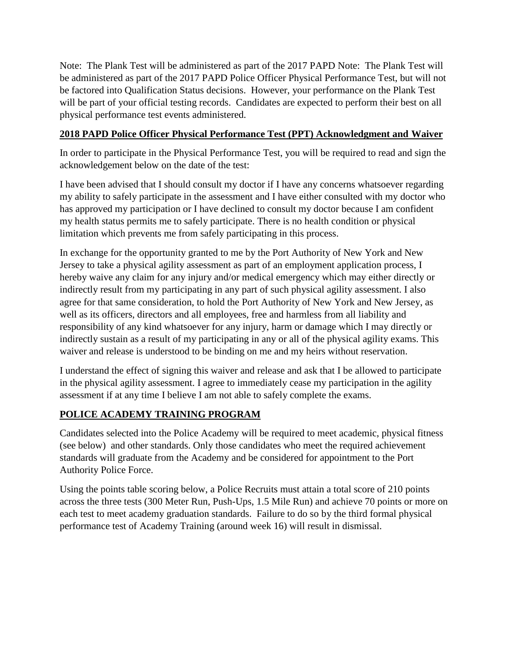Note: The Plank Test will be administered as part of the 2017 PAPD Note: The Plank Test will be administered as part of the 2017 PAPD Police Officer Physical Performance Test, but will not be factored into Qualification Status decisions. However, your performance on the Plank Test will be part of your official testing records. Candidates are expected to perform their best on all physical performance test events administered.

## **2018 PAPD Police Officer Physical Performance Test (PPT) Acknowledgment and Waiver**

In order to participate in the Physical Performance Test, you will be required to read and sign the acknowledgement below on the date of the test:

I have been advised that I should consult my doctor if I have any concerns whatsoever regarding my ability to safely participate in the assessment and I have either consulted with my doctor who has approved my participation or I have declined to consult my doctor because I am confident my health status permits me to safely participate. There is no health condition or physical limitation which prevents me from safely participating in this process.

In exchange for the opportunity granted to me by the Port Authority of New York and New Jersey to take a physical agility assessment as part of an employment application process, I hereby waive any claim for any injury and/or medical emergency which may either directly or indirectly result from my participating in any part of such physical agility assessment. I also agree for that same consideration, to hold the Port Authority of New York and New Jersey, as well as its officers, directors and all employees, free and harmless from all liability and responsibility of any kind whatsoever for any injury, harm or damage which I may directly or indirectly sustain as a result of my participating in any or all of the physical agility exams. This waiver and release is understood to be binding on me and my heirs without reservation.

I understand the effect of signing this waiver and release and ask that I be allowed to participate in the physical agility assessment. I agree to immediately cease my participation in the agility assessment if at any time I believe I am not able to safely complete the exams.

# **POLICE ACADEMY TRAINING PROGRAM**

Candidates selected into the Police Academy will be required to meet academic, physical fitness (see below) and other standards. Only those candidates who meet the required achievement standards will graduate from the Academy and be considered for appointment to the Port Authority Police Force.

Using the points table scoring below, a Police Recruits must attain a total score of 210 points across the three tests (300 Meter Run, Push-Ups, 1.5 Mile Run) and achieve 70 points or more on each test to meet academy graduation standards. Failure to do so by the third formal physical performance test of Academy Training (around week 16) will result in dismissal.